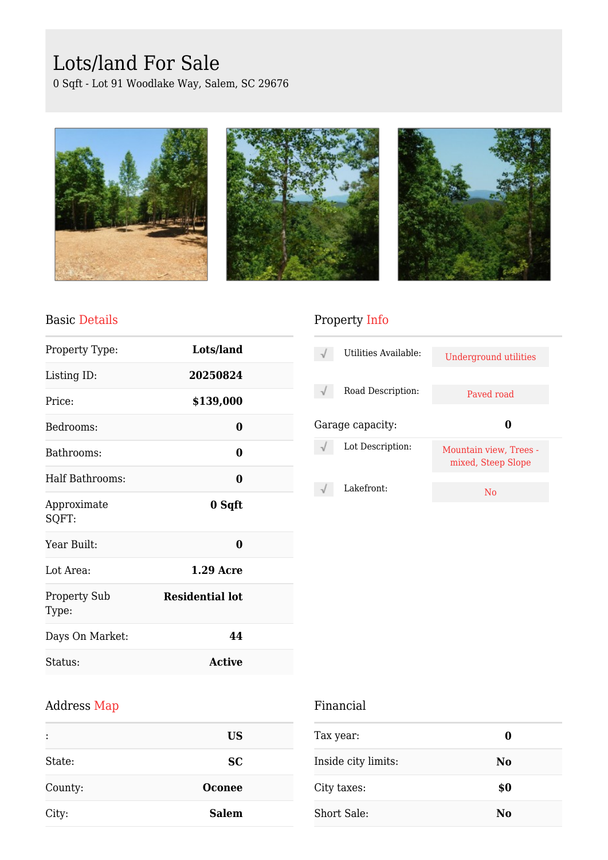# Lots/land For Sale

0 Sqft - Lot 91 Woodlake Way, Salem, SC 29676







#### Basic Details

| Property Type:               | Lots/land              |  |
|------------------------------|------------------------|--|
| Listing ID:                  | 20250824               |  |
| Price:                       | \$139,000              |  |
| Bedrooms:                    | 0                      |  |
| Bathrooms:                   | 0                      |  |
| Half Bathrooms:              | 0                      |  |
| Approximate<br>SQFT:         | 0 Sqft                 |  |
| Year Built:                  | 0                      |  |
| Lot Area:                    | <b>1.29 Acre</b>       |  |
| <b>Property Sub</b><br>Type: | <b>Residential lot</b> |  |
| Days On Market:              | 44                     |  |
| Status:                      | <b>Active</b>          |  |

## Property Info

| Utilities Available: | Underground utilities                        |  |
|----------------------|----------------------------------------------|--|
| Road Description:    | Payed road                                   |  |
|                      |                                              |  |
| Garage capacity:     |                                              |  |
| Lot Description:     | Mountain view, Trees -<br>mixed, Steep Slope |  |

## Address Map

| :       | <b>US</b>     |
|---------|---------------|
| State:  | <b>SC</b>     |
| County: | <b>Oconee</b> |
| City:   | <b>Salem</b>  |

### Financial

| Tax year:           | O              |  |
|---------------------|----------------|--|
| Inside city limits: | No             |  |
| City taxes:         | \$0            |  |
| Short Sale:         | N <sub>0</sub> |  |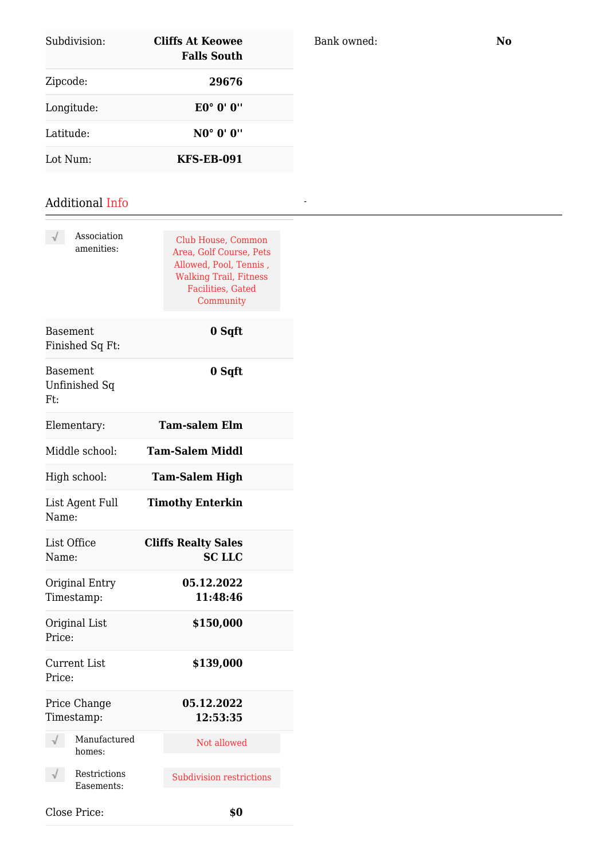| Subdivision: | Cliffs At Keowee<br><b>Falls South</b>       |  |
|--------------|----------------------------------------------|--|
| Zipcode:     | 29676                                        |  |
| Longitude:   | $E0^{\circ}$ $0^{\prime}$ $0^{\prime\prime}$ |  |
| Latitude:    | NO° 0' 0''                                   |  |
| Lot Num:     | <b>KFS-EB-091</b>                            |  |

#### Additional Info

| Association<br>amenities:               | Club House, Common<br>Area, Golf Course, Pets<br>Allowed, Pool, Tennis,<br><b>Walking Trail, Fitness</b><br><b>Facilities</b> , Gated<br>Community |
|-----------------------------------------|----------------------------------------------------------------------------------------------------------------------------------------------------|
| Basement<br>Finished Sq Ft:             | 0 Sqft                                                                                                                                             |
| <b>Basement</b><br>Unfinished Sq<br>Ft: | 0 Sqft                                                                                                                                             |
| Elementary:                             | <b>Tam-salem Elm</b>                                                                                                                               |
| Middle school:                          | Tam-Salem Middl                                                                                                                                    |
| High school:                            | <b>Tam-Salem High</b>                                                                                                                              |
| List Agent Full<br>Name:                | <b>Timothy Enterkin</b>                                                                                                                            |
| List Office<br>Name:                    | <b>Cliffs Realty Sales</b><br><b>SC LLC</b>                                                                                                        |
| Original Entry<br>Timestamp:            | 05.12.2022<br>11:48:46                                                                                                                             |
| Original List<br>Price:                 | \$150,000                                                                                                                                          |
| <b>Current List</b><br>Price:           | \$139,000                                                                                                                                          |
| Price Change<br>Timestamp:              | 05.12.2022<br>12:53:35                                                                                                                             |
| Manufactured<br>homes:                  | Not allowed                                                                                                                                        |
| Restrictions<br>Easements:              | <b>Subdivision restrictions</b>                                                                                                                    |
| Close Price:                            | \$0                                                                                                                                                |

Bank owned: **No**

*-*